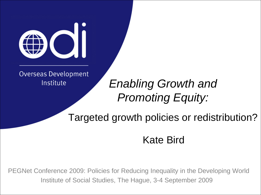

**Overseas Development** Institute

#### *Enabling Growth and Promoting Equity:*

Targeted growth policies or redistribution?

#### Kate Bird

PEGNet Conference 2009: Policies for Reducing Inequality in the Developing World Institute of Social Studies, The Hague, 3-4 September 2009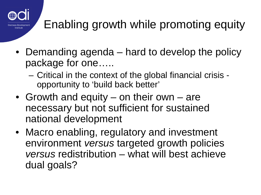

# Enabling growth while promoting equity

- Demanding agenda hard to develop the policy package for one…..
	- Critical in the context of the global financial crisis opportunity to 'build back better'
- Growth and equity on their own are necessary but not sufficient for sustained national development
- Macro enabling, regulatory and investment environment *versus* targeted growth policies *versus* redistribution – what will best achieve dual goals?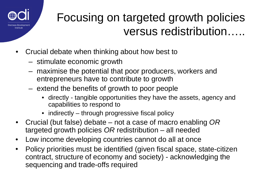

#### Focusing on targeted growth policies versus redistribution…..

- Crucial debate when thinking about how best to
	- stimulate economic growth
	- maximise the potential that poor producers, workers and entrepreneurs have to contribute to growth
	- extend the benefits of growth to poor people
		- directly tangible opportunities they have the assets, agency and capabilities to respond to
		- indirectly through progressive fiscal policy
- Crucial (but false) debate not a case of macro enabling *OR* targeted growth policies *OR* redistribution – all needed
- Low income developing countries cannot do all at once
- Policy priorities must be identified (given fiscal space, state-citizen contract, structure of economy and society) - acknowledging the sequencing and trade-offs required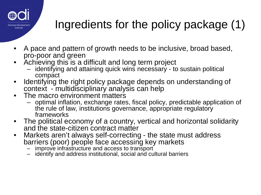

# Ingredients for the policy package (1)

- A pace and pattern of growth needs to be inclusive, broad based, pro-poor and green
- Achieving this is a difficult and long term project
	- identifying and attaining quick wins necessary to sustain political compact
- Identifying the right policy package depends on understanding of context - multidisciplinary analysis can help
- The macro environment matters
	- optimal inflation, exchange rates, fiscal policy, predictable application of the rule of law, institutions governance, appropriate regulatory frameworks
- The political economy of a country, vertical and horizontal solidarity and the state-citizen contract matter
- Markets aren't always self-correcting the state must address barriers (poor) people face accessing key markets<br>- improve infrastructure and access to transport
	-
	- identify and address institutional, social and cultural barriers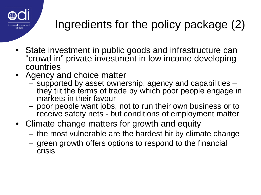

## Ingredients for the policy package (2)

- State investment in public goods and infrastructure can "crowd in" private investment in low income developing countries
- Agency and choice matter
	- supported by asset ownership, agency and capabilities they tilt the terms of trade by which poor people engage in
	- poor people want jobs, not to run their own business or to receive safety nets - but conditions of employment matter
- Climate change matters for growth and equity
	- the most vulnerable are the hardest hit by climate change
	- green growth offers options to respond to the financial crisis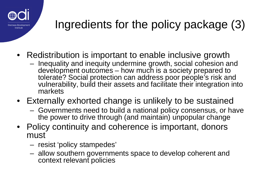

# Ingredients for the policy package (3)

- Redistribution is important to enable inclusive growth
	- Inequality and inequity undermine growth, social cohesion and development outcomes – how much is a society prepared to tolerate? Social protection can address poor people's risk and vulnerability, build their assets and facilitate their integration into markets
- Externally exhorted change is unlikely to be sustained
	- Governments need to build a national policy consensus, or have the power to drive through (and maintain) unpopular change
- Policy continuity and coherence is important, donors must
	- resist 'policy stampedes'
	- allow southern governments space to develop coherent and context relevant policies